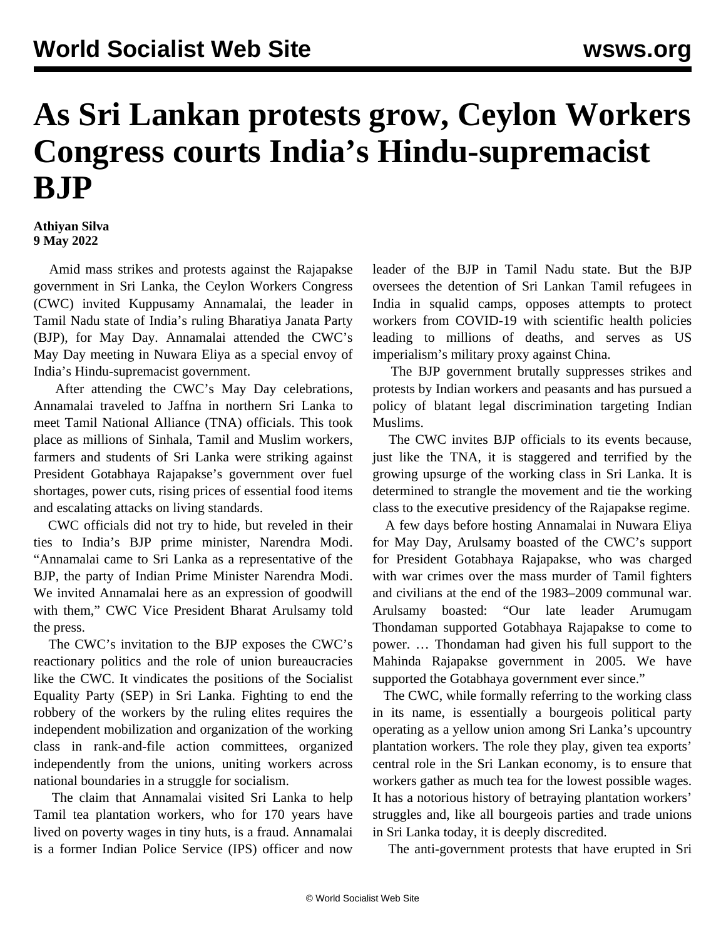## **As Sri Lankan protests grow, Ceylon Workers Congress courts India's Hindu-supremacist BJP**

## **Athiyan Silva 9 May 2022**

 Amid mass strikes and protests against the Rajapakse government in Sri Lanka, the Ceylon Workers Congress (CWC) invited Kuppusamy Annamalai, the leader in Tamil Nadu state of India's ruling Bharatiya Janata Party (BJP), for May Day. Annamalai attended the CWC's May Day meeting in Nuwara Eliya as a special envoy of India's Hindu-supremacist government.

 After attending the CWC's May Day celebrations, Annamalai traveled to Jaffna in northern Sri Lanka to meet Tamil National Alliance (TNA) officials. This took place as millions of Sinhala, Tamil and Muslim workers, farmers and students of Sri Lanka were striking against President Gotabhaya Rajapakse's government over fuel shortages, power cuts, rising prices of essential food items and escalating attacks on living standards.

 CWC officials did not try to hide, but reveled in their ties to India's BJP prime minister, Narendra Modi. "Annamalai came to Sri Lanka as a representative of the BJP, the party of Indian Prime Minister Narendra Modi. We invited Annamalai here as an expression of goodwill with them," CWC Vice President Bharat Arulsamy told the press.

 The CWC's invitation to the BJP exposes the CWC's reactionary politics and the role of union bureaucracies like the CWC. It vindicates the positions of the Socialist Equality Party (SEP) in Sri Lanka. Fighting to end the robbery of the workers by the ruling elites requires the independent mobilization and organization of the working class in rank-and-file action committees, organized independently from the unions, uniting workers across national boundaries in a struggle for socialism.

 The claim that Annamalai visited Sri Lanka to help Tamil tea plantation workers, who for 170 years have lived on poverty wages in tiny huts, is a fraud. Annamalai is a former Indian Police Service (IPS) officer and now

leader of the BJP in Tamil Nadu state. But the BJP oversees the detention of Sri Lankan Tamil refugees in India in squalid camps, opposes attempts to protect workers from COVID-19 with scientific health policies leading to millions of deaths, and serves as US imperialism's military proxy against China.

 The BJP government brutally suppresses strikes and protests by Indian workers and peasants and has pursued a policy of blatant legal discrimination targeting Indian Muslims.

 The CWC invites BJP officials to its events because, just like the TNA, it is staggered and terrified by the growing upsurge of the working class in Sri Lanka. It is determined to strangle the movement and tie the working class to the executive presidency of the Rajapakse regime.

 A few days before hosting Annamalai in Nuwara Eliya for May Day, Arulsamy boasted of the CWC's support for President Gotabhaya Rajapakse, who was charged with war crimes over the mass murder of Tamil fighters and civilians at the end of the 1983–2009 communal war. Arulsamy boasted: "Our late leader Arumugam Thondaman supported Gotabhaya Rajapakse to come to power. … Thondaman had given his full support to the Mahinda Rajapakse government in 2005. We have supported the Gotabhaya government ever since."

 The CWC, while formally referring to the working class in its name, is essentially a bourgeois political party operating as a yellow union among Sri Lanka's upcountry plantation workers. The role they play, given tea exports' central role in the Sri Lankan economy, is to ensure that workers gather as much tea for the lowest possible wages. It has a notorious history of betraying plantation workers' struggles and, like all bourgeois parties and trade unions in Sri Lanka today, it is deeply discredited.

The anti-government protests that have erupted in Sri